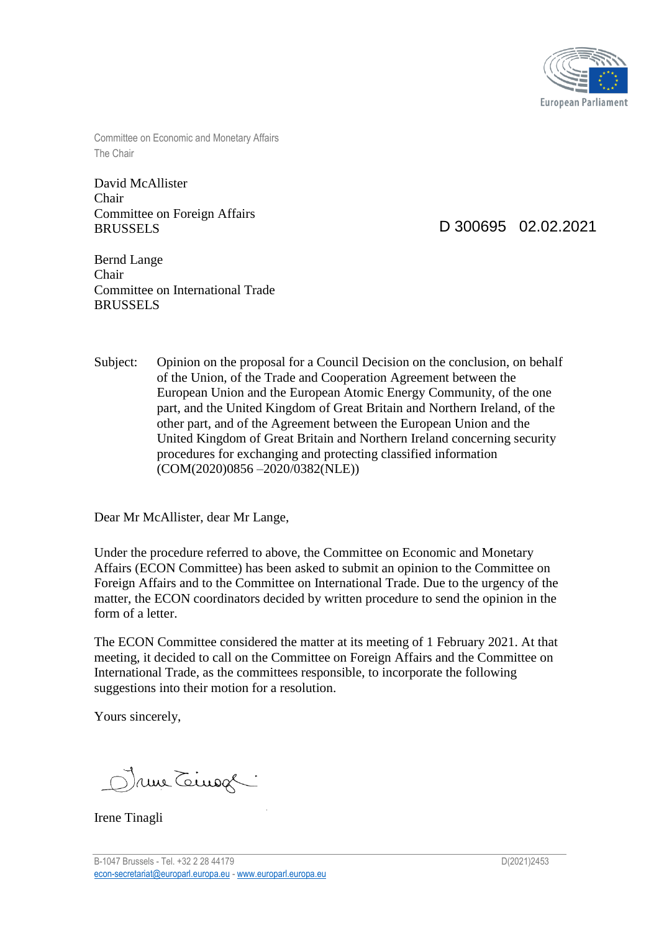

Committee on Economic and Monetary Affairs The Chair

David McAllister Chair Committee on Foreign Affairs BRUSSELS

D 300695 02.02.2021

Bernd Lange Chair Committee on International Trade BRUSSELS

Subject: Opinion on the proposal for a Council Decision on the conclusion, on behalf of the Union, of the Trade and Cooperation Agreement between the European Union and the European Atomic Energy Community, of the one part, and the United Kingdom of Great Britain and Northern Ireland, of the other part, and of the Agreement between the European Union and the United Kingdom of Great Britain and Northern Ireland concerning security procedures for exchanging and protecting classified information (COM(2020)0856 –2020/0382(NLE))

Dear Mr McAllister, dear Mr Lange,

Under the procedure referred to above, the Committee on Economic and Monetary Affairs (ECON Committee) has been asked to submit an opinion to the Committee on Foreign Affairs and to the Committee on International Trade. Due to the urgency of the matter, the ECON coordinators decided by written procedure to send the opinion in the form of a letter.

The ECON Committee considered the matter at its meeting of 1 February 2021. At that meeting, it decided to call on the Committee on Foreign Affairs and the Committee on International Trade, as the committees responsible, to incorporate the following suggestions into their motion for a resolution.

Yours sincerely,

Druie Teinog

Irene Tinagli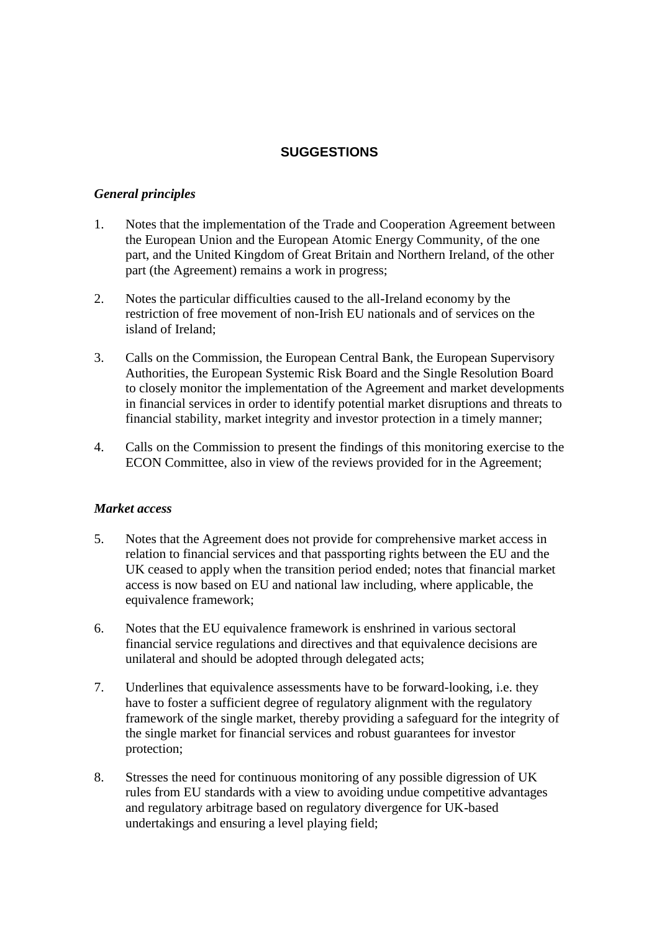## **SUGGESTIONS**

#### *General principles*

- 1. Notes that the implementation of the Trade and Cooperation Agreement between the European Union and the European Atomic Energy Community, of the one part, and the United Kingdom of Great Britain and Northern Ireland, of the other part (the Agreement) remains a work in progress;
- 2. Notes the particular difficulties caused to the all-Ireland economy by the restriction of free movement of non-Irish EU nationals and of services on the island of Ireland;
- 3. Calls on the Commission, the European Central Bank, the European Supervisory Authorities, the European Systemic Risk Board and the Single Resolution Board to closely monitor the implementation of the Agreement and market developments in financial services in order to identify potential market disruptions and threats to financial stability, market integrity and investor protection in a timely manner;
- 4. Calls on the Commission to present the findings of this monitoring exercise to the ECON Committee, also in view of the reviews provided for in the Agreement;

#### *Market access*

- 5. Notes that the Agreement does not provide for comprehensive market access in relation to financial services and that passporting rights between the EU and the UK ceased to apply when the transition period ended; notes that financial market access is now based on EU and national law including, where applicable, the equivalence framework;
- 6. Notes that the EU equivalence framework is enshrined in various sectoral financial service regulations and directives and that equivalence decisions are unilateral and should be adopted through delegated acts;
- 7. Underlines that equivalence assessments have to be forward-looking, i.e. they have to foster a sufficient degree of regulatory alignment with the regulatory framework of the single market, thereby providing a safeguard for the integrity of the single market for financial services and robust guarantees for investor protection;
- 8. Stresses the need for continuous monitoring of any possible digression of UK rules from EU standards with a view to avoiding undue competitive advantages and regulatory arbitrage based on regulatory divergence for UK-based undertakings and ensuring a level playing field;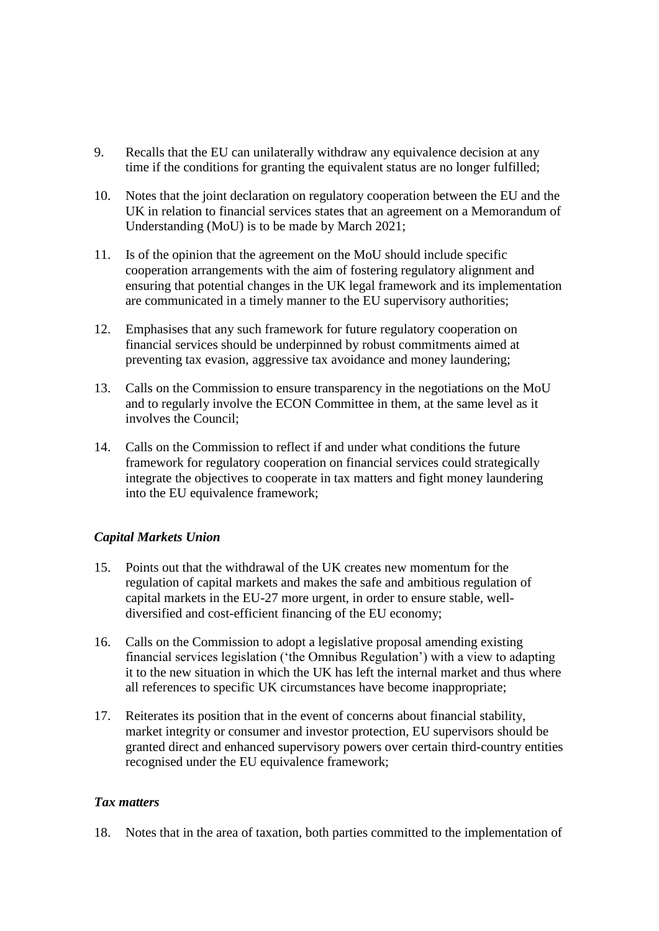- 9. Recalls that the EU can unilaterally withdraw any equivalence decision at any time if the conditions for granting the equivalent status are no longer fulfilled;
- 10. Notes that the joint declaration on regulatory cooperation between the EU and the UK in relation to financial services states that an agreement on a Memorandum of Understanding (MoU) is to be made by March 2021;
- 11. Is of the opinion that the agreement on the MoU should include specific cooperation arrangements with the aim of fostering regulatory alignment and ensuring that potential changes in the UK legal framework and its implementation are communicated in a timely manner to the EU supervisory authorities;
- 12. Emphasises that any such framework for future regulatory cooperation on financial services should be underpinned by robust commitments aimed at preventing tax evasion, aggressive tax avoidance and money laundering;
- 13. Calls on the Commission to ensure transparency in the negotiations on the MoU and to regularly involve the ECON Committee in them, at the same level as it involves the Council;
- 14. Calls on the Commission to reflect if and under what conditions the future framework for regulatory cooperation on financial services could strategically integrate the objectives to cooperate in tax matters and fight money laundering into the EU equivalence framework;

### *Capital Markets Union*

- 15. Points out that the withdrawal of the UK creates new momentum for the regulation of capital markets and makes the safe and ambitious regulation of capital markets in the EU-27 more urgent, in order to ensure stable, welldiversified and cost-efficient financing of the EU economy;
- 16. Calls on the Commission to adopt a legislative proposal amending existing financial services legislation ('the Omnibus Regulation') with a view to adapting it to the new situation in which the UK has left the internal market and thus where all references to specific UK circumstances have become inappropriate;
- 17. Reiterates its position that in the event of concerns about financial stability, market integrity or consumer and investor protection, EU supervisors should be granted direct and enhanced supervisory powers over certain third-country entities recognised under the EU equivalence framework;

#### *Tax matters*

18. Notes that in the area of taxation, both parties committed to the implementation of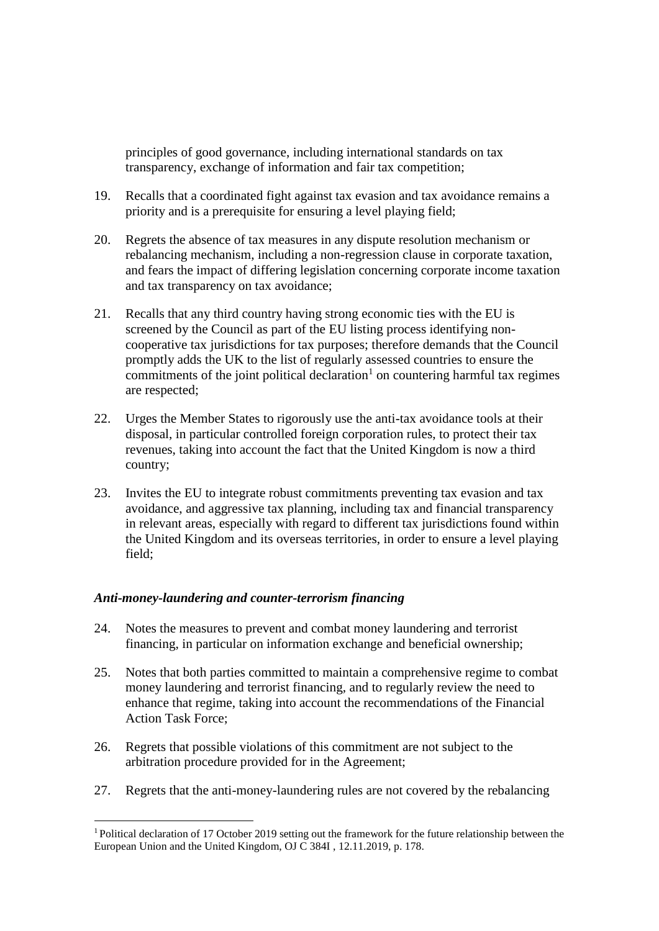principles of good governance, including international standards on tax transparency, exchange of information and fair tax competition;

- 19. Recalls that a coordinated fight against tax evasion and tax avoidance remains a priority and is a prerequisite for ensuring a level playing field;
- 20. Regrets the absence of tax measures in any dispute resolution mechanism or rebalancing mechanism, including a non-regression clause in corporate taxation, and fears the impact of differing legislation concerning corporate income taxation and tax transparency on tax avoidance;
- 21. Recalls that any third country having strong economic ties with the EU is screened by the Council as part of the EU listing process identifying noncooperative tax jurisdictions for tax purposes; therefore demands that the Council promptly adds the UK to the list of regularly assessed countries to ensure the commitments of the joint political declaration<sup>1</sup> on countering harmful tax regimes are respected;
- 22. Urges the Member States to rigorously use the anti-tax avoidance tools at their disposal, in particular controlled foreign corporation rules, to protect their tax revenues, taking into account the fact that the United Kingdom is now a third country;
- 23. Invites the EU to integrate robust commitments preventing tax evasion and tax avoidance, and aggressive tax planning, including tax and financial transparency in relevant areas, especially with regard to different tax jurisdictions found within the United Kingdom and its overseas territories, in order to ensure a level playing field;

#### *Anti-money-laundering and counter-terrorism financing*

<u>.</u>

- 24. Notes the measures to prevent and combat money laundering and terrorist financing, in particular on information exchange and beneficial ownership;
- 25. Notes that both parties committed to maintain a comprehensive regime to combat money laundering and terrorist financing, and to regularly review the need to enhance that regime, taking into account the recommendations of the Financial Action Task Force;
- 26. Regrets that possible violations of this commitment are not subject to the arbitration procedure provided for in the Agreement;
- 27. Regrets that the anti-money-laundering rules are not covered by the rebalancing

<sup>&</sup>lt;sup>1</sup> Political declaration of 17 October 2019 setting out the framework for the future relationship between the European Union and the United Kingdom, OJ  $\check{C}$  384I, 12.11.2019, p. 178.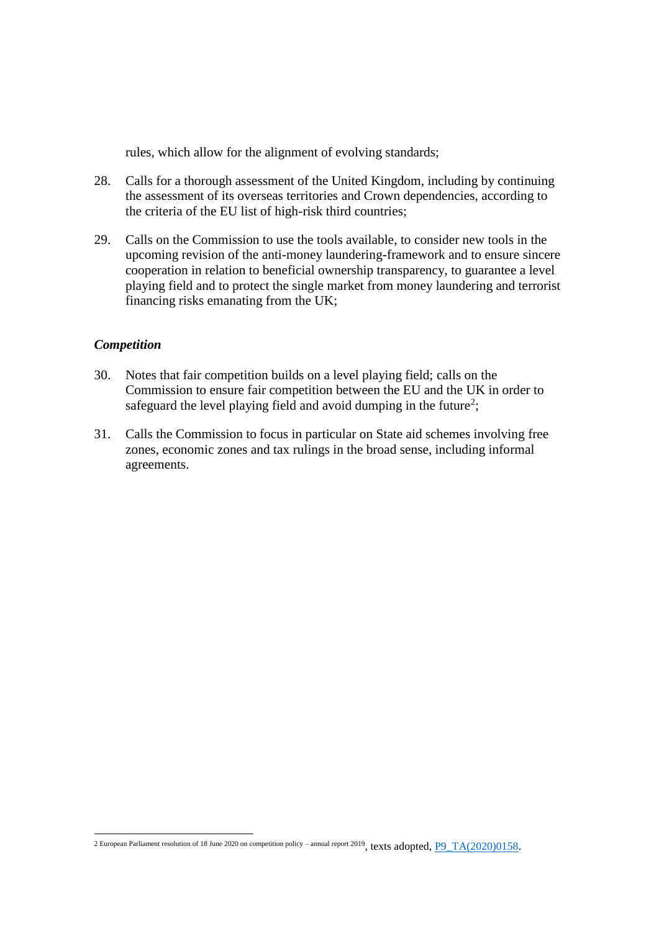rules, which allow for the alignment of evolving standards;

- 28. Calls for a thorough assessment of the United Kingdom, including by continuing the assessment of its overseas territories and Crown dependencies, according to the criteria of the EU list of high-risk third countries;
- 29. Calls on the Commission to use the tools available, to consider new tools in the upcoming revision of the anti-money laundering-framework and to ensure sincere cooperation in relation to beneficial ownership transparency, to guarantee a level playing field and to protect the single market from money laundering and terrorist financing risks emanating from the UK;

#### *Competition*

1

- 30. Notes that fair competition builds on a level playing field; calls on the Commission to ensure fair competition between the EU and the UK in order to safeguard the level playing field and avoid dumping in the future<sup>2</sup>;
- 31. Calls the Commission to focus in particular on State aid schemes involving free zones, economic zones and tax rulings in the broad sense, including informal agreements.

<sup>2</sup> European Parliament resolution of 18 June 2020 on competition policy – annual report 2019, texts adopted, [P9\\_TA\(2020\)0158.](https://www.europarl.europa.eu/doceo/document/TA-9-2020-0158_EN.html)